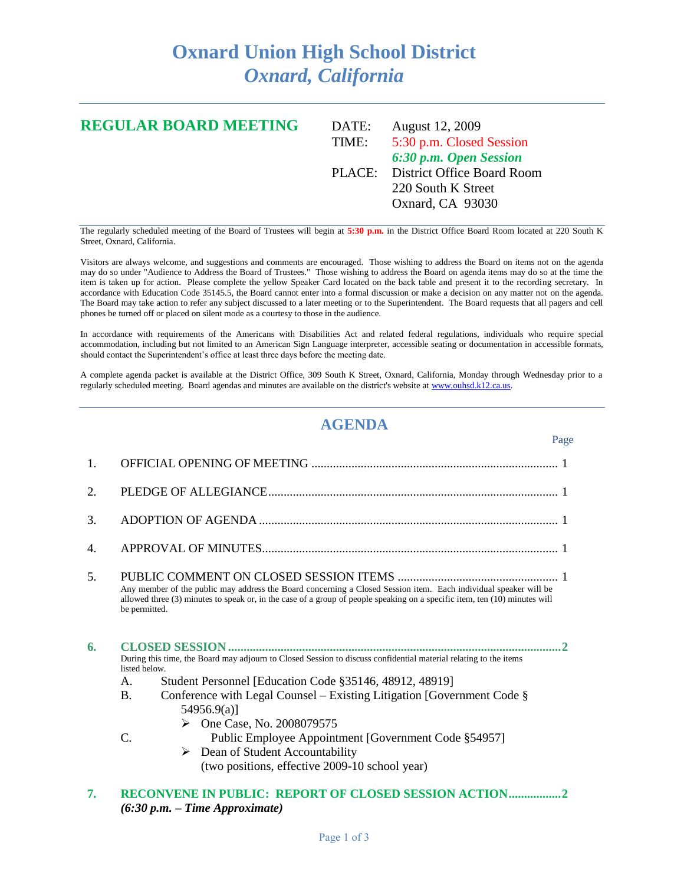## **Oxnard Union High School District** *Oxnard, California*

## **REGULAR BOARD MEETING** DATE: August 12, 2009 TIME: 5:30 p.m. Closed Session *6:30 p.m. Open Session* PLACE: District Office Board Room 220 South K Street Oxnard, CA 93030

The regularly scheduled meeting of the Board of Trustees will begin at **5:30 p.m.** in the District Office Board Room located at 220 South K Street, Oxnard, California.

Visitors are always welcome, and suggestions and comments are encouraged. Those wishing to address the Board on items not on the agenda may do so under "Audience to Address the Board of Trustees." Those wishing to address the Board on agenda items may do so at the time the item is taken up for action. Please complete the yellow Speaker Card located on the back table and present it to the recording secretary. In accordance with Education Code 35145.5, the Board cannot enter into a formal discussion or make a decision on any matter not on the agenda. The Board may take action to refer any subject discussed to a later meeting or to the Superintendent. The Board requests that all pagers and cell phones be turned off or placed on silent mode as a courtesy to those in the audience.

In accordance with requirements of the Americans with Disabilities Act and related federal regulations, individuals who require special accommodation, including but not limited to an American Sign Language interpreter, accessible seating or documentation in accessible formats, should contact the Superintendent's office at least three days before the meeting date.

A complete agenda packet is available at the District Office, 309 South K Street, Oxnard, California, Monday through Wednesday prior to a regularly scheduled meeting. Board agendas and minutes are available on the district's website a[t www.ouhsd.k12.ca.us.](http://www.ouhsd.k12.ca.us/)

## **AGENDA**

 $P<sub>909</sub>$ 

|    | 1 agu                                                                                                                                                                                                                                                                                                                                                                                                                                                                                                                               |
|----|-------------------------------------------------------------------------------------------------------------------------------------------------------------------------------------------------------------------------------------------------------------------------------------------------------------------------------------------------------------------------------------------------------------------------------------------------------------------------------------------------------------------------------------|
| 1. |                                                                                                                                                                                                                                                                                                                                                                                                                                                                                                                                     |
| 2. |                                                                                                                                                                                                                                                                                                                                                                                                                                                                                                                                     |
| 3. |                                                                                                                                                                                                                                                                                                                                                                                                                                                                                                                                     |
| 4. |                                                                                                                                                                                                                                                                                                                                                                                                                                                                                                                                     |
| 5. | Any member of the public may address the Board concerning a Closed Session item. Each individual speaker will be<br>allowed three (3) minutes to speak or, in the case of a group of people speaking on a specific item, ten (10) minutes will<br>be permitted.                                                                                                                                                                                                                                                                     |
| 6. | During this time, the Board may adjourn to Closed Session to discuss confidential material relating to the items<br>listed below.<br>Student Personnel [Education Code §35146, 48912, 48919]<br>A.<br>Conference with Legal Counsel – Existing Litigation [Government Code $\S$ ]<br><b>B.</b><br>$54956.9(a)$ ]<br>$\triangleright$ One Case, No. 2008079575<br>$C$ .<br>Public Employee Appointment [Government Code §54957]<br>$\triangleright$ Dean of Student Accountability<br>(two positions, effective 2009-10 school year) |

**7. RECONVENE IN PUBLIC: REPORT OF CLOSED SESSION ACTION.................2** *(6:30 p.m. – Time Approximate)*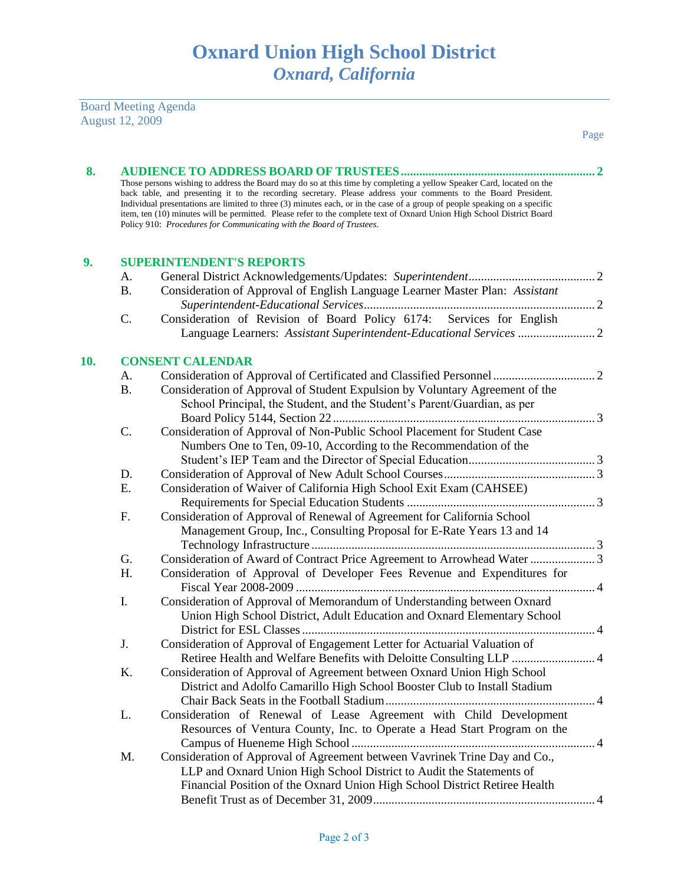Board Meeting Agenda August 12, 2009

| 8.  |                                 |                                                                                                                                                                                                                                                                                                                                                                                                                                                                                                                                                                         |  |  |  |  |  |
|-----|---------------------------------|-------------------------------------------------------------------------------------------------------------------------------------------------------------------------------------------------------------------------------------------------------------------------------------------------------------------------------------------------------------------------------------------------------------------------------------------------------------------------------------------------------------------------------------------------------------------------|--|--|--|--|--|
|     |                                 | Those persons wishing to address the Board may do so at this time by completing a yellow Speaker Card, located on the<br>back table, and presenting it to the recording secretary. Please address your comments to the Board President.<br>Individual presentations are limited to three (3) minutes each, or in the case of a group of people speaking on a specific<br>item, ten (10) minutes will be permitted. Please refer to the complete text of Oxnard Union High School District Board<br>Policy 910: Procedures for Communicating with the Board of Trustees. |  |  |  |  |  |
| 9.  | <b>SUPERINTENDENT'S REPORTS</b> |                                                                                                                                                                                                                                                                                                                                                                                                                                                                                                                                                                         |  |  |  |  |  |
|     | А.                              |                                                                                                                                                                                                                                                                                                                                                                                                                                                                                                                                                                         |  |  |  |  |  |
|     | <b>B.</b>                       | Consideration of Approval of English Language Learner Master Plan: Assistant                                                                                                                                                                                                                                                                                                                                                                                                                                                                                            |  |  |  |  |  |
|     |                                 |                                                                                                                                                                                                                                                                                                                                                                                                                                                                                                                                                                         |  |  |  |  |  |
|     | C.                              | Consideration of Revision of Board Policy 6174: Services for English                                                                                                                                                                                                                                                                                                                                                                                                                                                                                                    |  |  |  |  |  |
|     |                                 | Language Learners: Assistant Superintendent-Educational Services  2                                                                                                                                                                                                                                                                                                                                                                                                                                                                                                     |  |  |  |  |  |
| 10. |                                 | <b>CONSENT CALENDAR</b>                                                                                                                                                                                                                                                                                                                                                                                                                                                                                                                                                 |  |  |  |  |  |
|     | A.                              |                                                                                                                                                                                                                                                                                                                                                                                                                                                                                                                                                                         |  |  |  |  |  |
|     | <b>B.</b>                       | Consideration of Approval of Student Expulsion by Voluntary Agreement of the                                                                                                                                                                                                                                                                                                                                                                                                                                                                                            |  |  |  |  |  |
|     |                                 | School Principal, the Student, and the Student's Parent/Guardian, as per                                                                                                                                                                                                                                                                                                                                                                                                                                                                                                |  |  |  |  |  |
|     |                                 |                                                                                                                                                                                                                                                                                                                                                                                                                                                                                                                                                                         |  |  |  |  |  |
|     | C.                              | Consideration of Approval of Non-Public School Placement for Student Case                                                                                                                                                                                                                                                                                                                                                                                                                                                                                               |  |  |  |  |  |
|     |                                 | Numbers One to Ten, 09-10, According to the Recommendation of the                                                                                                                                                                                                                                                                                                                                                                                                                                                                                                       |  |  |  |  |  |
|     |                                 |                                                                                                                                                                                                                                                                                                                                                                                                                                                                                                                                                                         |  |  |  |  |  |
|     | D.                              |                                                                                                                                                                                                                                                                                                                                                                                                                                                                                                                                                                         |  |  |  |  |  |
|     | Ε.                              | Consideration of Waiver of California High School Exit Exam (CAHSEE)                                                                                                                                                                                                                                                                                                                                                                                                                                                                                                    |  |  |  |  |  |
|     |                                 |                                                                                                                                                                                                                                                                                                                                                                                                                                                                                                                                                                         |  |  |  |  |  |
|     | F.                              | Consideration of Approval of Renewal of Agreement for California School                                                                                                                                                                                                                                                                                                                                                                                                                                                                                                 |  |  |  |  |  |
|     |                                 | Management Group, Inc., Consulting Proposal for E-Rate Years 13 and 14                                                                                                                                                                                                                                                                                                                                                                                                                                                                                                  |  |  |  |  |  |
|     |                                 |                                                                                                                                                                                                                                                                                                                                                                                                                                                                                                                                                                         |  |  |  |  |  |
|     | G.                              | Consideration of Award of Contract Price Agreement to Arrowhead Water 3                                                                                                                                                                                                                                                                                                                                                                                                                                                                                                 |  |  |  |  |  |
|     | H.                              | Consideration of Approval of Developer Fees Revenue and Expenditures for                                                                                                                                                                                                                                                                                                                                                                                                                                                                                                |  |  |  |  |  |
|     | I.                              | Consideration of Approval of Memorandum of Understanding between Oxnard                                                                                                                                                                                                                                                                                                                                                                                                                                                                                                 |  |  |  |  |  |
|     |                                 | Union High School District, Adult Education and Oxnard Elementary School                                                                                                                                                                                                                                                                                                                                                                                                                                                                                                |  |  |  |  |  |
|     |                                 |                                                                                                                                                                                                                                                                                                                                                                                                                                                                                                                                                                         |  |  |  |  |  |
|     | J.                              | Consideration of Approval of Engagement Letter for Actuarial Valuation of                                                                                                                                                                                                                                                                                                                                                                                                                                                                                               |  |  |  |  |  |
|     |                                 | Retiree Health and Welfare Benefits with Deloitte Consulting LLP  4                                                                                                                                                                                                                                                                                                                                                                                                                                                                                                     |  |  |  |  |  |
|     | Κ.                              | Consideration of Approval of Agreement between Oxnard Union High School                                                                                                                                                                                                                                                                                                                                                                                                                                                                                                 |  |  |  |  |  |
|     |                                 | District and Adolfo Camarillo High School Booster Club to Install Stadium                                                                                                                                                                                                                                                                                                                                                                                                                                                                                               |  |  |  |  |  |
|     |                                 |                                                                                                                                                                                                                                                                                                                                                                                                                                                                                                                                                                         |  |  |  |  |  |
|     | L.                              | Consideration of Renewal of Lease Agreement with Child Development                                                                                                                                                                                                                                                                                                                                                                                                                                                                                                      |  |  |  |  |  |
|     |                                 | Resources of Ventura County, Inc. to Operate a Head Start Program on the                                                                                                                                                                                                                                                                                                                                                                                                                                                                                                |  |  |  |  |  |
|     |                                 |                                                                                                                                                                                                                                                                                                                                                                                                                                                                                                                                                                         |  |  |  |  |  |
|     | M.                              | Consideration of Approval of Agreement between Vavrinek Trine Day and Co.,                                                                                                                                                                                                                                                                                                                                                                                                                                                                                              |  |  |  |  |  |
|     |                                 | LLP and Oxnard Union High School District to Audit the Statements of                                                                                                                                                                                                                                                                                                                                                                                                                                                                                                    |  |  |  |  |  |
|     |                                 | Financial Position of the Oxnard Union High School District Retiree Health                                                                                                                                                                                                                                                                                                                                                                                                                                                                                              |  |  |  |  |  |
|     |                                 |                                                                                                                                                                                                                                                                                                                                                                                                                                                                                                                                                                         |  |  |  |  |  |